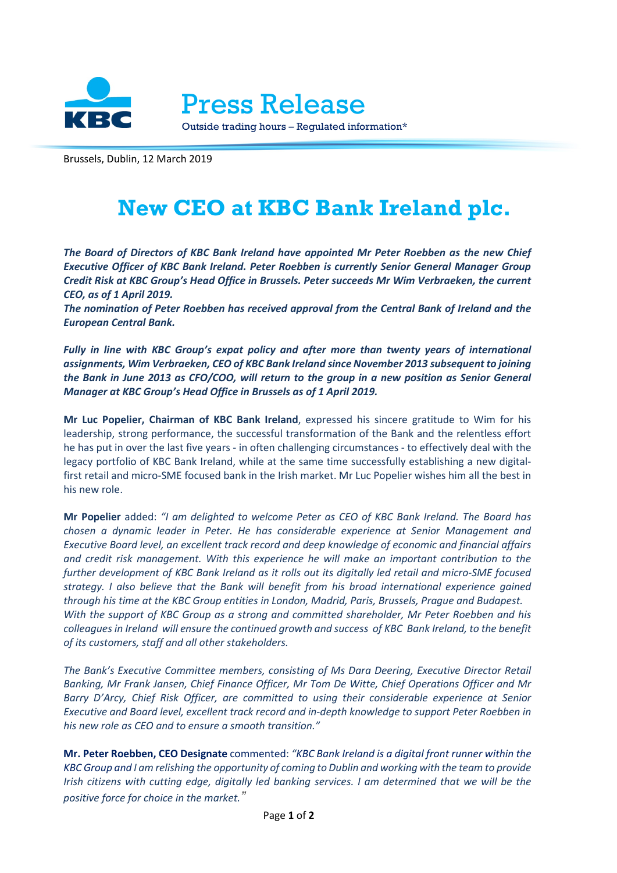

Press Release

Outside trading hours – Regulated information\*

Brussels, Dublin, 12 March 2019

## **New CEO at KBC Bank Ireland plc.**

*The Board of Directors of KBC Bank Ireland have appointed Mr Peter Roebben as the new Chief Executive Officer of KBC Bank Ireland. Peter Roebben is currently Senior General Manager Group Credit Risk at KBC Group's Head Office in Brussels. Peter succeeds Mr Wim Verbraeken, the current CEO, as of 1 April 2019.*

*The nomination of Peter Roebben has received approval from the Central Bank of Ireland and the European Central Bank.* 

*Fully in line with KBC Group's expat policy and after more than twenty years of international assignments, Wim Verbraeken, CEO of KBC Bank Ireland since November 2013 subsequent to joining the Bank in June 2013 as CFO/COO, will return to the group in a new position as Senior General Manager at KBC Group's Head Office in Brussels as of 1 April 2019.* 

**Mr Luc Popelier, Chairman of KBC Bank Ireland**, expressed his sincere gratitude to Wim for his leadership, strong performance, the successful transformation of the Bank and the relentless effort he has put in over the last five years - in often challenging circumstances - to effectively deal with the legacy portfolio of KBC Bank Ireland, while at the same time successfully establishing a new digitalfirst retail and micro-SME focused bank in the Irish market. Mr Luc Popelier wishes him all the best in his new role.

**Mr Popelier** added: *"I am delighted to welcome Peter as CEO of KBC Bank Ireland. The Board has chosen a dynamic leader in Peter. He has considerable experience at Senior Management and Executive Board level, an excellent track record and deep knowledge of economic and financial affairs and credit risk management. With this experience he will make an important contribution to the further development of KBC Bank Ireland as it rolls out its digitally led retail and micro-SME focused strategy. I also believe that the Bank will benefit from his broad international experience gained through his time at the KBC Group entities in London, Madrid, Paris, Brussels, Prague and Budapest. With the support of KBC Group as a strong and committed shareholder, Mr Peter Roebben and his colleagues in Ireland will ensure the continued growth and success of KBC Bank Ireland, to the benefit of its customers, staff and all other stakeholders.*

*The Bank's Executive Committee members, consisting of Ms Dara Deering, Executive Director Retail Banking, Mr Frank Jansen, Chief Finance Officer, Mr Tom De Witte, Chief Operations Officer and Mr Barry D'Arcy, Chief Risk Officer, are committed to using their considerable experience at Senior Executive and Board level, excellent track record and in-depth knowledge to support Peter Roebben in his new role as CEO and to ensure a smooth transition."*

**Mr. Peter Roebben, CEO Designate** commented: *"KBC Bank Ireland is a digital front runner within the KBC Group and I am relishing the opportunity of coming to Dublin and working with the team to provide Irish citizens with cutting edge, digitally led banking services. I am determined that we will be the positive force for choice in the market."*